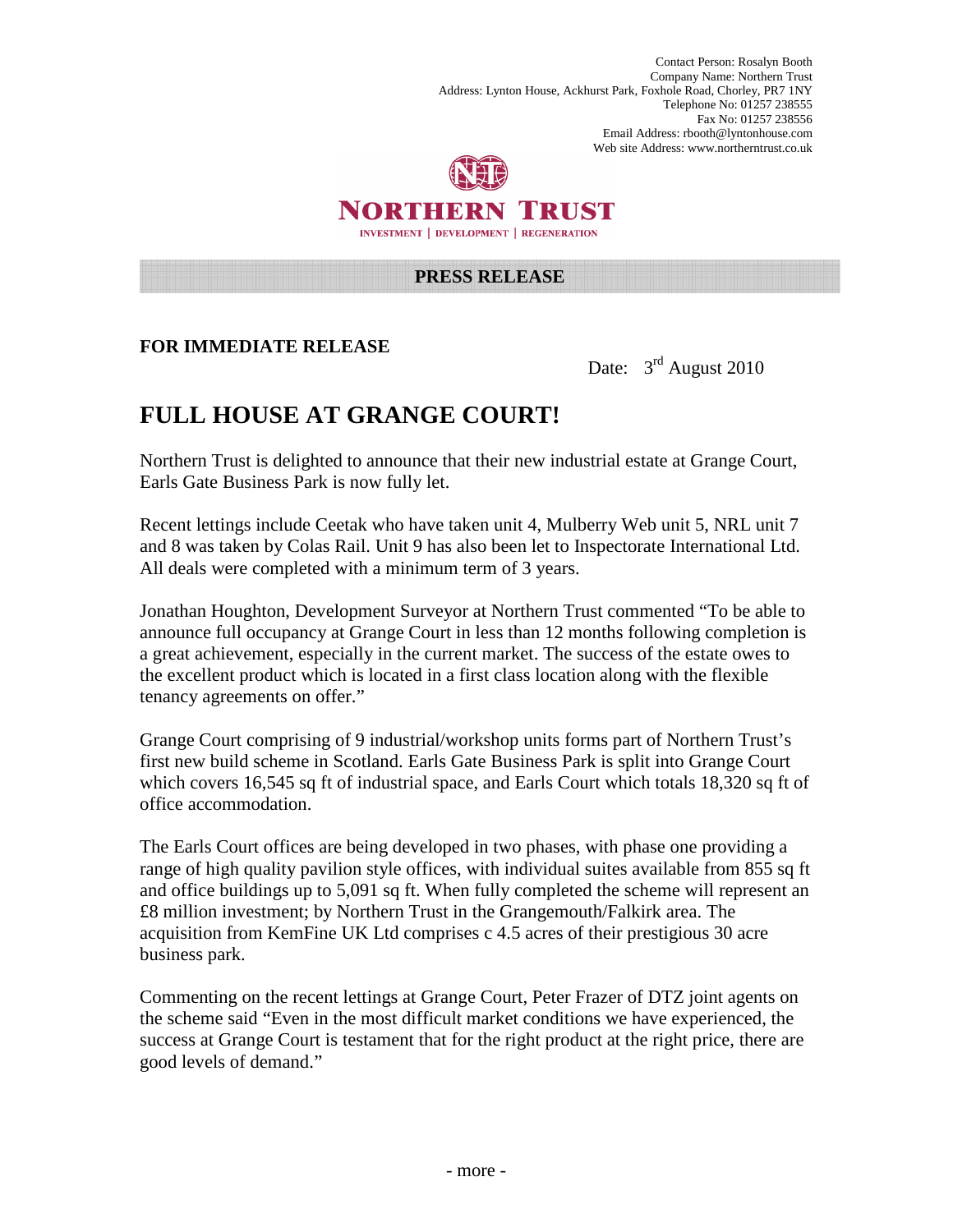Contact Person: Rosalyn Booth Company Name: Northern Trust Address: Lynton House, Ackhurst Park, Foxhole Road, Chorley, PR7 1NY Telephone No: 01257 238555 Fax No: 01257 238556 Email Address: rbooth@lyntonhouse.com Web site Address: www.northerntrust.co.uk



NORTHERN TRUST INVESTMENT | DEVELOPMENT | REGENERATION

## **PRESS RELEASE**

## **FOR IMMEDIATE RELEASE**

Date:  $3<sup>rd</sup>$  August 2010

## **FULL HOUSE AT GRANGE COURT!**

Northern Trust is delighted to announce that their new industrial estate at Grange Court, Earls Gate Business Park is now fully let.

Recent lettings include Ceetak who have taken unit 4, Mulberry Web unit 5, NRL unit 7 and 8 was taken by Colas Rail. Unit 9 has also been let to Inspectorate International Ltd. All deals were completed with a minimum term of 3 years.

Jonathan Houghton, Development Surveyor at Northern Trust commented "To be able to announce full occupancy at Grange Court in less than 12 months following completion is a great achievement, especially in the current market. The success of the estate owes to the excellent product which is located in a first class location along with the flexible tenancy agreements on offer."

Grange Court comprising of 9 industrial/workshop units forms part of Northern Trust's first new build scheme in Scotland. Earls Gate Business Park is split into Grange Court which covers 16,545 sq ft of industrial space, and Earls Court which totals 18,320 sq ft of office accommodation.

The Earls Court offices are being developed in two phases, with phase one providing a range of high quality pavilion style offices, with individual suites available from 855 sq ft and office buildings up to 5,091 sq ft. When fully completed the scheme will represent an £8 million investment; by Northern Trust in the Grangemouth/Falkirk area. The acquisition from KemFine UK Ltd comprises c 4.5 acres of their prestigious 30 acre business park.

Commenting on the recent lettings at Grange Court, Peter Frazer of DTZ joint agents on the scheme said "Even in the most difficult market conditions we have experienced, the success at Grange Court is testament that for the right product at the right price, there are good levels of demand."